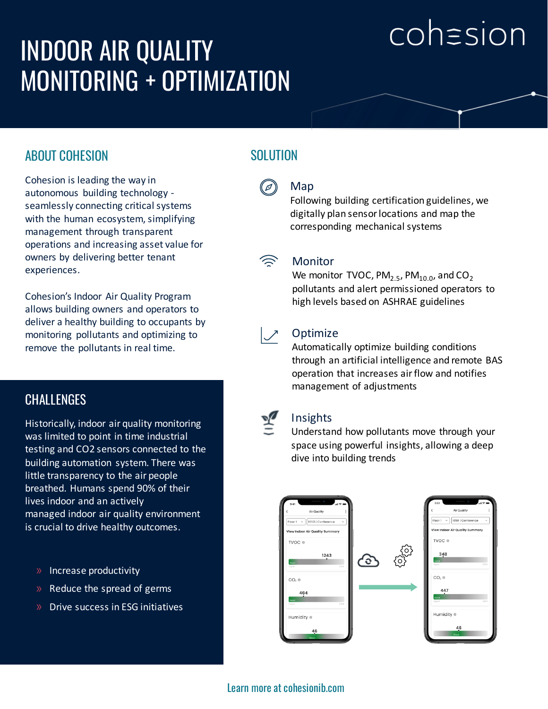# cohasion

# INDOOR AIR QUALITY MONITORING + OPTIMIZATION

# ABOUT COHESION

Cohesion is leading the way in autonomous building technology seamlessly connecting critical systems with the human ecosystem, simplifying management through transparent operations and increasing asset value for owners by delivering better tenant experiences.

Cohesion's Indoor Air Quality Program allows building owners and operators to deliver a healthy building to occupants by monitoring pollutants and optimizing to remove the pollutants in real time.

## **CHALLENGES**

Historically, indoor air quality monitoring was limited to point in time industrial testing and CO2 sensors connected to the building automation system. There was little transparency to the air people breathed. Humans spend 90% of their lives indoor and an actively managed indoor air quality environment is crucial to drive healthy outcomes.

- $\mathbb{R}$  Increase productivity
- $\lambda$  Reduce the spread of germs
- $\triangleright$  Drive success in ESG initiatives

# **SOLUTION**

#### Map  $(\varnothing)$

Following building certification guidelines, we digitally plan sensor locations and map the corresponding mechanical systems



#### **Monitor**

We monitor TVOC,  $PM_{2.5}$ ,  $PM_{10.0}$ , and  $CO<sub>2</sub>$ pollutants and alert permissioned operators to high levels based on ASHRAE guidelines



#### **Optimize**

Automatically optimize building conditions through an artificial intelligence and remote BAS operation that increases air flow and notifies management of adjustments



#### Insights

Understand how pollutants move through your space using powerful insights, allowing a deep dive into building trends



### Learn more at cohesionib.com